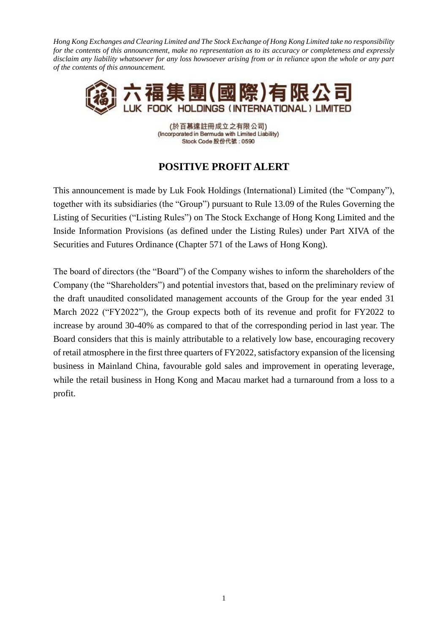*Hong Kong Exchanges and Clearing Limited and The Stock Exchange of Hong Kong Limited take no responsibility for the contents of this announcement, make no representation as to its accuracy or completeness and expressly disclaim any liability whatsoever for any loss howsoever arising from or in reliance upon the whole or any part of the contents of this announcement.*



(於百慕達註冊成立之有限公司) (Incorporated in Bermuda with Limited Liability) Stock Code 股份代號: 0590

## **POSITIVE PROFIT ALERT**

This announcement is made by Luk Fook Holdings (International) Limited (the "Company"), together with its subsidiaries (the "Group") pursuant to Rule 13.09 of the Rules Governing the Listing of Securities ("Listing Rules") on The Stock Exchange of Hong Kong Limited and the Inside Information Provisions (as defined under the Listing Rules) under Part XIVA of the Securities and Futures Ordinance (Chapter 571 of the Laws of Hong Kong).

The board of directors (the "Board") of the Company wishes to inform the shareholders of the Company (the "Shareholders") and potential investors that, based on the preliminary review of the draft unaudited consolidated management accounts of the Group for the year ended 31 March 2022 ("FY2022"), the Group expects both of its revenue and profit for FY2022 to increase by around 30-40% as compared to that of the corresponding period in last year. The Board considers that this is mainly attributable to a relatively low base, encouraging recovery of retail atmosphere in the first three quarters of FY2022, satisfactory expansion of the licensing business in Mainland China, favourable gold sales and improvement in operating leverage, while the retail business in Hong Kong and Macau market had a turnaround from a loss to a profit.